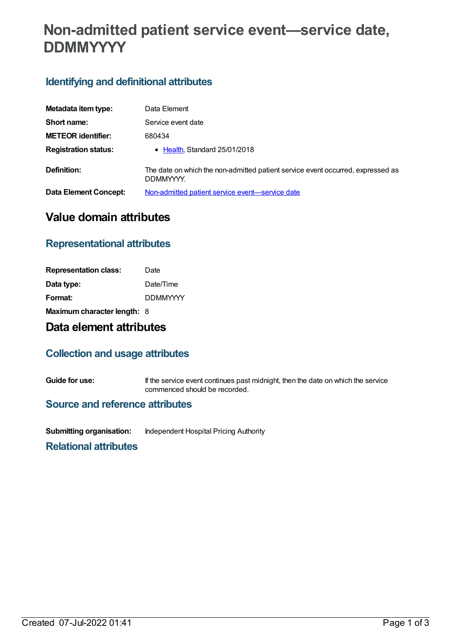# **Non-admitted patient service event—service date, DDMMYYYY**

## **Identifying and definitional attributes**

| Metadata item type:          | Data Element                                                                                 |
|------------------------------|----------------------------------------------------------------------------------------------|
| Short name:                  | Service event date                                                                           |
| <b>METEOR identifier:</b>    | 680434                                                                                       |
| <b>Registration status:</b>  | • Health, Standard 25/01/2018                                                                |
| Definition:                  | The date on which the non-admitted patient service event occurred, expressed as<br>DDMMYYYY. |
| <b>Data Element Concept:</b> | Non-admitted patient service event-service date                                              |

# **Value domain attributes**

### **Representational attributes**

| <b>Representation class:</b> | Date            |
|------------------------------|-----------------|
| Data type:                   | Date/Time       |
| Format:                      | <b>DDMMYYYY</b> |
| Maximum character length: 8  |                 |

# **Data element attributes**

#### **Collection and usage attributes**

**Guide for use:** If the service event continues past midnight, then the date on which the service commenced should be recorded.

#### **Source and reference attributes**

**Submitting organisation:** Independent Hospital Pricing Authority

**Relational attributes**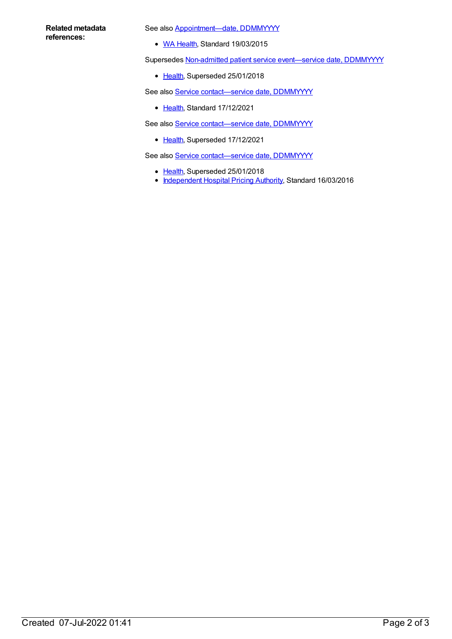#### **Related metadata references:**

See also **Appointment-date**, DDMMYYYY

• WA [Health](https://meteor.aihw.gov.au/RegistrationAuthority/2), Standard 19/03/2015

Supersedes Non-admitted patient service event-service date, DDMMYYYY

• [Health](https://meteor.aihw.gov.au/RegistrationAuthority/12), Superseded 25/01/2018

See also Service contact-service date, DDMMYYYY

• [Health](https://meteor.aihw.gov.au/RegistrationAuthority/12), Standard 17/12/2021

See also Service contact-service date, DDMMYYYY

• [Health](https://meteor.aihw.gov.au/RegistrationAuthority/12), Superseded 17/12/2021

See also Service contact-service date, DDMMYYYY

- [Health](https://meteor.aihw.gov.au/RegistrationAuthority/12), Superseded 25/01/2018
- [Independent](https://meteor.aihw.gov.au/RegistrationAuthority/3) Hospital Pricing Authority, Standard 16/03/2016